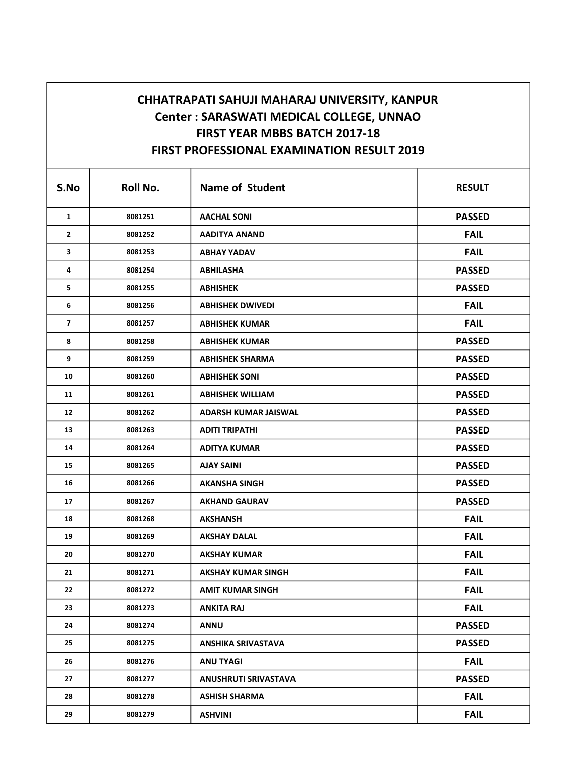## CHHATRAPATI SAHUJI MAHARAJ UNIVERSITY, KANPUR Center : SARASWATI MEDICAL COLLEGE, UNNAO FIRST YEAR MBBS BATCH 2017-18 FIRST PROFESSIONAL EXAMINATION RESULT 2019

| S.No                    | Roll No. | <b>Name of Student</b>      | <b>RESULT</b> |
|-------------------------|----------|-----------------------------|---------------|
| $\mathbf{1}$            | 8081251  | <b>AACHAL SONI</b>          | <b>PASSED</b> |
| 2                       | 8081252  | <b>AADITYA ANAND</b>        | <b>FAIL</b>   |
| 3                       | 8081253  | <b>ABHAY YADAV</b>          | <b>FAIL</b>   |
| 4                       | 8081254  | <b>ABHILASHA</b>            | <b>PASSED</b> |
| 5                       | 8081255  | <b>ABHISHEK</b>             | <b>PASSED</b> |
| 6                       | 8081256  | <b>ABHISHEK DWIVEDI</b>     | <b>FAIL</b>   |
| $\overline{\mathbf{z}}$ | 8081257  | <b>ABHISHEK KUMAR</b>       | <b>FAIL</b>   |
| 8                       | 8081258  | <b>ABHISHEK KUMAR</b>       | <b>PASSED</b> |
| 9                       | 8081259  | <b>ABHISHEK SHARMA</b>      | <b>PASSED</b> |
| 10                      | 8081260  | <b>ABHISHEK SONI</b>        | <b>PASSED</b> |
| 11                      | 8081261  | <b>ABHISHEK WILLIAM</b>     | <b>PASSED</b> |
| 12                      | 8081262  | ADARSH KUMAR JAISWAL        | <b>PASSED</b> |
| 13                      | 8081263  | <b>ADITI TRIPATHI</b>       | <b>PASSED</b> |
| 14                      | 8081264  | <b>ADITYA KUMAR</b>         | <b>PASSED</b> |
| 15                      | 8081265  | <b>AJAY SAINI</b>           | <b>PASSED</b> |
| 16                      | 8081266  | <b>AKANSHA SINGH</b>        | <b>PASSED</b> |
| 17                      | 8081267  | <b>AKHAND GAURAV</b>        | <b>PASSED</b> |
| 18                      | 8081268  | AKSHANSH                    | <b>FAIL</b>   |
| 19                      | 8081269  | <b>AKSHAY DALAL</b>         | <b>FAIL</b>   |
| 20                      | 8081270  | <b>AKSHAY KUMAR</b>         | <b>FAIL</b>   |
| 21                      | 8081271  | <b>AKSHAY KUMAR SINGH</b>   | <b>FAIL</b>   |
| 22                      | 8081272  | <b>AMIT KUMAR SINGH</b>     | <b>FAIL</b>   |
| 23                      | 8081273  | <b>ANKITA RAJ</b>           | <b>FAIL</b>   |
| 24                      | 8081274  | <b>ANNU</b>                 | <b>PASSED</b> |
| 25                      | 8081275  | <b>ANSHIKA SRIVASTAVA</b>   | <b>PASSED</b> |
| 26                      | 8081276  | <b>ANU TYAGI</b>            | <b>FAIL</b>   |
| 27                      | 8081277  | <b>ANUSHRUTI SRIVASTAVA</b> | <b>PASSED</b> |
| 28                      | 8081278  | <b>ASHISH SHARMA</b>        | <b>FAIL</b>   |
| 29                      | 8081279  | <b>ASHVINI</b>              | <b>FAIL</b>   |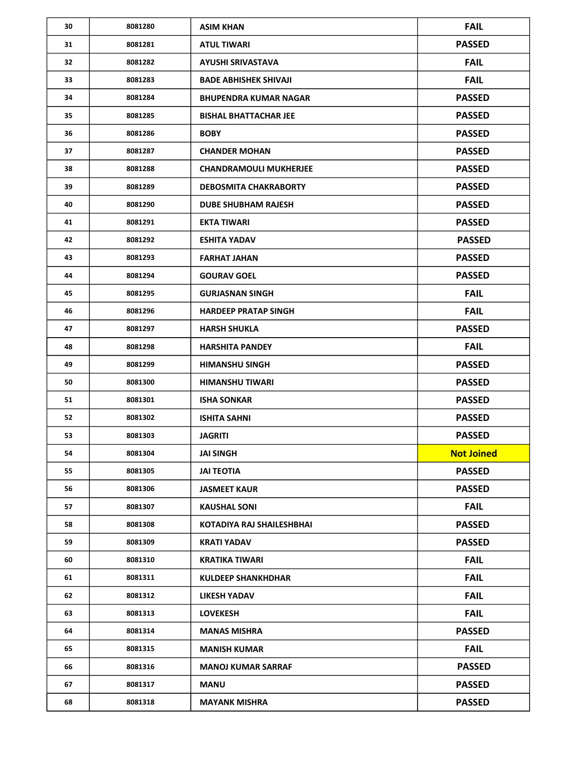| 30 | 8081280 | <b>ASIM KHAN</b>              | <b>FAIL</b>       |
|----|---------|-------------------------------|-------------------|
| 31 | 8081281 | <b>ATUL TIWARI</b>            | <b>PASSED</b>     |
| 32 | 8081282 | AYUSHI SRIVASTAVA             | <b>FAIL</b>       |
| 33 | 8081283 | <b>BADE ABHISHEK SHIVAJI</b>  | <b>FAIL</b>       |
| 34 | 8081284 | <b>BHUPENDRA KUMAR NAGAR</b>  | <b>PASSED</b>     |
| 35 | 8081285 | <b>BISHAL BHATTACHAR JEE</b>  | <b>PASSED</b>     |
| 36 | 8081286 | <b>BOBY</b>                   | <b>PASSED</b>     |
| 37 | 8081287 | <b>CHANDER MOHAN</b>          | <b>PASSED</b>     |
| 38 | 8081288 | <b>CHANDRAMOULI MUKHERJEE</b> | <b>PASSED</b>     |
| 39 | 8081289 | <b>DEBOSMITA CHAKRABORTY</b>  | <b>PASSED</b>     |
| 40 | 8081290 | <b>DUBE SHUBHAM RAJESH</b>    | <b>PASSED</b>     |
| 41 | 8081291 | <b>EKTA TIWARI</b>            | <b>PASSED</b>     |
| 42 | 8081292 | <b>ESHITA YADAV</b>           | <b>PASSED</b>     |
| 43 | 8081293 | <b>FARHAT JAHAN</b>           | <b>PASSED</b>     |
| 44 | 8081294 | <b>GOURAV GOEL</b>            | <b>PASSED</b>     |
| 45 | 8081295 | <b>GURJASNAN SINGH</b>        | <b>FAIL</b>       |
| 46 | 8081296 | <b>HARDEEP PRATAP SINGH</b>   | <b>FAIL</b>       |
| 47 | 8081297 | <b>HARSH SHUKLA</b>           | <b>PASSED</b>     |
| 48 | 8081298 | <b>HARSHITA PANDEY</b>        | <b>FAIL</b>       |
| 49 | 8081299 | <b>HIMANSHU SINGH</b>         | <b>PASSED</b>     |
| 50 | 8081300 | <b>HIMANSHU TIWARI</b>        | <b>PASSED</b>     |
| 51 | 8081301 | <b>ISHA SONKAR</b>            | <b>PASSED</b>     |
| 52 | 8081302 | <b>ISHITA SAHNI</b>           | <b>PASSED</b>     |
| 53 | 8081303 | <b>JAGRITI</b>                | <b>PASSED</b>     |
| 54 | 8081304 | <b>JAI SINGH</b>              | <b>Not Joined</b> |
| 55 | 8081305 | <b>JAI TEOTIA</b>             | <b>PASSED</b>     |
| 56 | 8081306 | <b>JASMEET KAUR</b>           | <b>PASSED</b>     |
| 57 | 8081307 | <b>KAUSHAL SONI</b>           | <b>FAIL</b>       |
| 58 | 8081308 | KOTADIYA RAJ SHAILESHBHAI     | <b>PASSED</b>     |
| 59 | 8081309 | <b>KRATI YADAV</b>            | <b>PASSED</b>     |
| 60 | 8081310 | <b>KRATIKA TIWARI</b>         | <b>FAIL</b>       |
| 61 | 8081311 | <b>KULDEEP SHANKHDHAR</b>     | <b>FAIL</b>       |
| 62 | 8081312 | LIKESH YADAV                  | <b>FAIL</b>       |
| 63 | 8081313 | <b>LOVEKESH</b>               | <b>FAIL</b>       |
| 64 | 8081314 | <b>MANAS MISHRA</b>           | <b>PASSED</b>     |
| 65 | 8081315 | <b>MANISH KUMAR</b>           | <b>FAIL</b>       |
| 66 | 8081316 | <b>MANOJ KUMAR SARRAF</b>     | <b>PASSED</b>     |
| 67 | 8081317 | MANU                          | <b>PASSED</b>     |
| 68 | 8081318 | <b>MAYANK MISHRA</b>          | <b>PASSED</b>     |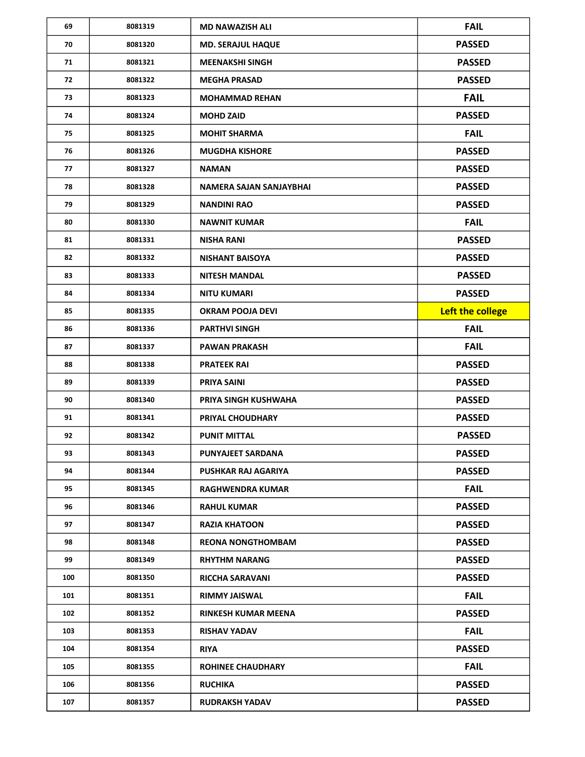| 69  | 8081319 | <b>MD NAWAZISH ALI</b>     | <b>FAIL</b>      |
|-----|---------|----------------------------|------------------|
| 70  | 8081320 | <b>MD. SERAJUL HAQUE</b>   | <b>PASSED</b>    |
| 71  | 8081321 | <b>MEENAKSHI SINGH</b>     | <b>PASSED</b>    |
| 72  | 8081322 | <b>MEGHA PRASAD</b>        | <b>PASSED</b>    |
| 73  | 8081323 | <b>MOHAMMAD REHAN</b>      | <b>FAIL</b>      |
| 74  | 8081324 | <b>MOHD ZAID</b>           | <b>PASSED</b>    |
| 75  | 8081325 | <b>MOHIT SHARMA</b>        | <b>FAIL</b>      |
| 76  | 8081326 | <b>MUGDHA KISHORE</b>      | <b>PASSED</b>    |
| 77  | 8081327 | <b>NAMAN</b>               | <b>PASSED</b>    |
| 78  | 8081328 | NAMERA SAJAN SANJAYBHAI    | <b>PASSED</b>    |
| 79  | 8081329 | <b>NANDINI RAO</b>         | <b>PASSED</b>    |
| 80  | 8081330 | <b>NAWNIT KUMAR</b>        | <b>FAIL</b>      |
| 81  | 8081331 | <b>NISHA RANI</b>          | <b>PASSED</b>    |
| 82  | 8081332 | <b>NISHANT BAISOYA</b>     | <b>PASSED</b>    |
| 83  | 8081333 | <b>NITESH MANDAL</b>       | <b>PASSED</b>    |
| 84  | 8081334 | <b>NITU KUMARI</b>         | <b>PASSED</b>    |
| 85  | 8081335 | <b>OKRAM POOJA DEVI</b>    | Left the college |
| 86  | 8081336 | <b>PARTHVI SINGH</b>       | <b>FAIL</b>      |
| 87  | 8081337 | <b>PAWAN PRAKASH</b>       | <b>FAIL</b>      |
| 88  | 8081338 | <b>PRATEEK RAI</b>         | <b>PASSED</b>    |
| 89  | 8081339 | <b>PRIYA SAINI</b>         | <b>PASSED</b>    |
| 90  | 8081340 | PRIYA SINGH KUSHWAHA       | <b>PASSED</b>    |
| 91  | 8081341 | PRIYAL CHOUDHARY           | <b>PASSED</b>    |
| 92  | 8081342 | <b>PUNIT MITTAL</b>        | <b>PASSED</b>    |
| 93  | 8081343 | PUNYAJEET SARDANA          | <b>PASSED</b>    |
| 94  | 8081344 | PUSHKAR RAJ AGARIYA        | <b>PASSED</b>    |
| 95  | 8081345 | <b>RAGHWENDRA KUMAR</b>    | <b>FAIL</b>      |
| 96  | 8081346 | <b>RAHUL KUMAR</b>         | <b>PASSED</b>    |
| 97  | 8081347 | <b>RAZIA KHATOON</b>       | <b>PASSED</b>    |
| 98  | 8081348 | <b>REONA NONGTHOMBAM</b>   | <b>PASSED</b>    |
| 99  | 8081349 | <b>RHYTHM NARANG</b>       | <b>PASSED</b>    |
| 100 | 8081350 | <b>RICCHA SARAVANI</b>     | <b>PASSED</b>    |
| 101 | 8081351 | <b>RIMMY JAISWAL</b>       | <b>FAIL</b>      |
| 102 | 8081352 | <b>RINKESH KUMAR MEENA</b> | <b>PASSED</b>    |
| 103 | 8081353 | <b>RISHAV YADAV</b>        | <b>FAIL</b>      |
| 104 | 8081354 | <b>RIYA</b>                | <b>PASSED</b>    |
| 105 | 8081355 | <b>ROHINEE CHAUDHARY</b>   | <b>FAIL</b>      |
| 106 | 8081356 | <b>RUCHIKA</b>             | <b>PASSED</b>    |
| 107 | 8081357 | <b>RUDRAKSH YADAV</b>      | <b>PASSED</b>    |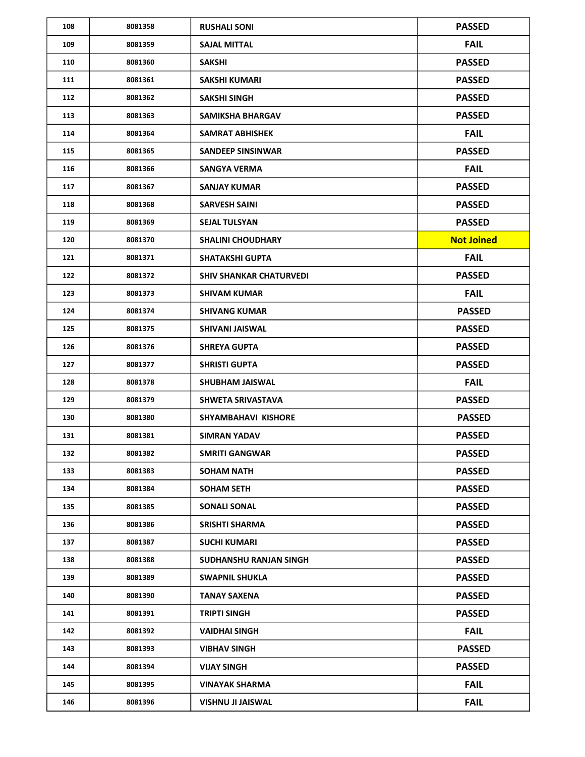| 108 | 8081358 | <b>RUSHALI SONI</b>            | <b>PASSED</b>     |
|-----|---------|--------------------------------|-------------------|
| 109 | 8081359 | <b>SAJAL MITTAL</b>            | <b>FAIL</b>       |
| 110 | 8081360 | <b>SAKSHI</b>                  | <b>PASSED</b>     |
| 111 | 8081361 | <b>SAKSHI KUMARI</b>           | <b>PASSED</b>     |
| 112 | 8081362 | <b>SAKSHI SINGH</b>            | <b>PASSED</b>     |
| 113 | 8081363 | <b>SAMIKSHA BHARGAV</b>        | <b>PASSED</b>     |
| 114 | 8081364 | <b>SAMRAT ABHISHEK</b>         | <b>FAIL</b>       |
| 115 | 8081365 | <b>SANDEEP SINSINWAR</b>       | <b>PASSED</b>     |
| 116 | 8081366 | SANGYA VERMA                   | <b>FAIL</b>       |
| 117 | 8081367 | <b>SANJAY KUMAR</b>            | <b>PASSED</b>     |
| 118 | 8081368 | <b>SARVESH SAINI</b>           | <b>PASSED</b>     |
| 119 | 8081369 | <b>SEJAL TULSYAN</b>           | <b>PASSED</b>     |
| 120 | 8081370 | <b>SHALINI CHOUDHARY</b>       | <b>Not Joined</b> |
| 121 | 8081371 | <b>SHATAKSHI GUPTA</b>         | <b>FAIL</b>       |
| 122 | 8081372 | <b>SHIV SHANKAR CHATURVEDI</b> | <b>PASSED</b>     |
| 123 | 8081373 | <b>SHIVAM KUMAR</b>            | <b>FAIL</b>       |
| 124 | 8081374 | <b>SHIVANG KUMAR</b>           | <b>PASSED</b>     |
| 125 | 8081375 | SHIVANI JAISWAL                | <b>PASSED</b>     |
| 126 | 8081376 | <b>SHREYA GUPTA</b>            | <b>PASSED</b>     |
| 127 | 8081377 | <b>SHRISTI GUPTA</b>           | <b>PASSED</b>     |
| 128 | 8081378 | <b>SHUBHAM JAISWAL</b>         | <b>FAIL</b>       |
| 129 | 8081379 | SHWETA SRIVASTAVA              | <b>PASSED</b>     |
| 130 | 8081380 | SHYAMBAHAVI KISHORE            | <b>PASSED</b>     |
| 131 | 8081381 | <b>SIMRAN YADAV</b>            | <b>PASSED</b>     |
| 132 | 8081382 | <b>SMRITI GANGWAR</b>          | <b>PASSED</b>     |
| 133 | 8081383 | <b>SOHAM NATH</b>              | <b>PASSED</b>     |
| 134 | 8081384 | <b>SOHAM SETH</b>              | <b>PASSED</b>     |
| 135 | 8081385 | <b>SONALI SONAL</b>            | <b>PASSED</b>     |
| 136 | 8081386 | SRISHTI SHARMA                 | <b>PASSED</b>     |
| 137 | 8081387 | <b>SUCHI KUMARI</b>            | <b>PASSED</b>     |
| 138 | 8081388 | SUDHANSHU RANJAN SINGH         | <b>PASSED</b>     |
| 139 | 8081389 | <b>SWAPNIL SHUKLA</b>          | <b>PASSED</b>     |
| 140 | 8081390 | TANAY SAXENA                   | <b>PASSED</b>     |
| 141 | 8081391 | <b>TRIPTI SINGH</b>            | <b>PASSED</b>     |
| 142 | 8081392 | VAIDHAI SINGH                  | <b>FAIL</b>       |
| 143 | 8081393 | <b>VIBHAV SINGH</b>            | <b>PASSED</b>     |
| 144 | 8081394 | <b>VIJAY SINGH</b>             | <b>PASSED</b>     |
| 145 | 8081395 | <b>VINAYAK SHARMA</b>          | <b>FAIL</b>       |
| 146 | 8081396 | <b>VISHNU JI JAISWAL</b>       | <b>FAIL</b>       |